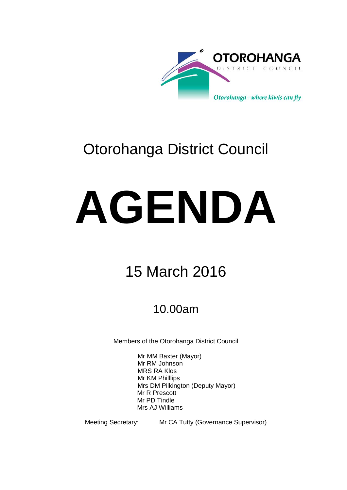

# Otorohanga District Council

# **AGENDA**

# 15 March 2016

# 10.00am

Members of the Otorohanga District Council

Mr MM Baxter (Mayor) Mr RM Johnson MRS RA Klos Mr KM Philllips Mrs DM Pilkington (Deputy Mayor) Mr R Prescott Mr PD Tindle Mrs AJ Williams

Meeting Secretary: Mr CA Tutty (Governance Supervisor)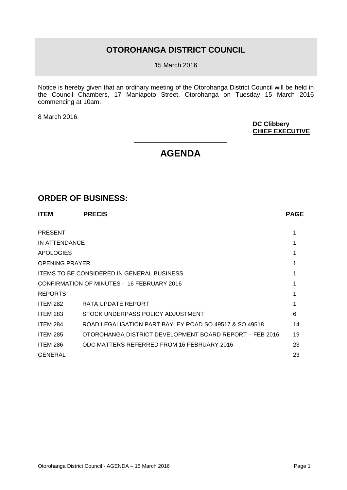## **OTOROHANGA DISTRICT COUNCIL**

15 March 2016

Notice is hereby given that an ordinary meeting of the Otorohanga District Council will be held in the Council Chambers, 17 Maniapoto Street, Otorohanga on Tuesday 15 March 2016 commencing at 10am.

8 March 2016

**DC Clibbery CHIEF EXECUTIVE**

# **AGENDA**

### **ORDER OF BUSINESS:**

| <b>ITEM</b>           | <b>PRECIS</b>                                           | <b>PAGE</b> |
|-----------------------|---------------------------------------------------------|-------------|
|                       |                                                         |             |
| <b>PRESENT</b>        |                                                         |             |
| IN ATTENDANCE         |                                                         |             |
| <b>APOLOGIES</b>      |                                                         |             |
| <b>OPENING PRAYER</b> |                                                         |             |
|                       | <b>ITEMS TO BE CONSIDERED IN GENERAL BUSINESS</b>       |             |
|                       | CONFIRMATION OF MINUTES - 16 FEBRUARY 2016              |             |
| <b>REPORTS</b>        |                                                         |             |
| <b>ITEM 282</b>       | RATA UPDATE REPORT                                      |             |
| <b>ITEM 283</b>       | STOCK UNDERPASS POLICY ADJUSTMENT                       | 6           |
| <b>ITEM 284</b>       | ROAD LEGALISATION PART BAYLEY ROAD SO 49517 & SO 49518  | 14          |
| <b>ITEM 285</b>       | OTOROHANGA DISTRICT DEVELOPMENT BOARD REPORT - FEB 2016 | 19          |
| ITEM 286              | ODC MATTERS REFERRED FROM 16 FEBRUARY 2016              | 23          |
| <b>GENERAL</b>        |                                                         | 23          |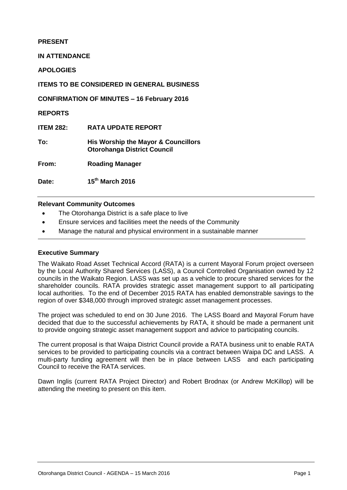#### **PRESENT**

**IN ATTENDANCE**

**APOLOGIES**

**ITEMS TO BE CONSIDERED IN GENERAL BUSINESS**

**CONFIRMATION OF MINUTES – 16 February 2016**

**REPORTS**

**ITEM 282: RATA UPDATE REPORT**

**To: His Worship the Mayor & Councillors Otorohanga District Council**

**From: Roading Manager**

**Date: 15th March 2016**

#### **Relevant Community Outcomes**

- The Otorohanga District is a safe place to live
- Ensure services and facilities meet the needs of the Community
- Manage the natural and physical environment in a sustainable manner

#### **Executive Summary**

The Waikato Road Asset Technical Accord (RATA) is a current Mayoral Forum project overseen by the Local Authority Shared Services (LASS), a Council Controlled Organisation owned by 12 councils in the Waikato Region. LASS was set up as a vehicle to procure shared services for the shareholder councils. RATA provides strategic asset management support to all participating local authorities. To the end of December 2015 RATA has enabled demonstrable savings to the region of over \$348,000 through improved strategic asset management processes.

The project was scheduled to end on 30 June 2016. The LASS Board and Mayoral Forum have decided that due to the successful achievements by RATA, it should be made a permanent unit to provide ongoing strategic asset management support and advice to participating councils.

The current proposal is that Waipa District Council provide a RATA business unit to enable RATA services to be provided to participating councils via a contract between Waipa DC and LASS. A multi-party funding agreement will then be in place between LASS and each participating Council to receive the RATA services.

Dawn Inglis (current RATA Project Director) and Robert Brodnax (or Andrew McKillop) will be attending the meeting to present on this item.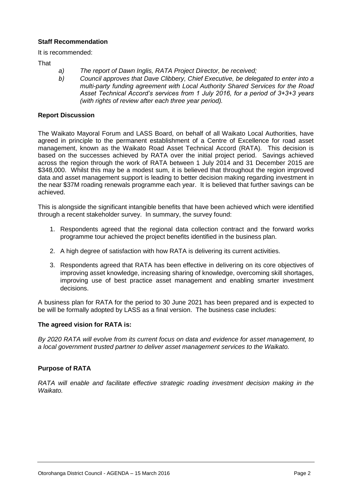#### **Staff Recommendation**

It is recommended:

**That** 

- *a) The report of Dawn Inglis, RATA Project Director, be received;*
- *b) Council approves that Dave Clibbery, Chief Executive, be delegated to enter into a multi-party funding agreement with Local Authority Shared Services for the Road Asset Technical Accord's services from 1 July 2016, for a period of 3+3+3 years (with rights of review after each three year period).*

#### **Report Discussion**

The Waikato Mayoral Forum and LASS Board, on behalf of all Waikato Local Authorities, have agreed in principle to the permanent establishment of a Centre of Excellence for road asset management, known as the Waikato Road Asset Technical Accord (RATA). This decision is based on the successes achieved by RATA over the initial project period. Savings achieved across the region through the work of RATA between 1 July 2014 and 31 December 2015 are \$348,000. Whilst this may be a modest sum, it is believed that throughout the region improved data and asset management support is leading to better decision making regarding investment in the near \$37M roading renewals programme each year. It is believed that further savings can be achieved.

This is alongside the significant intangible benefits that have been achieved which were identified through a recent stakeholder survey. In summary, the survey found:

- 1. Respondents agreed that the regional data collection contract and the forward works programme tour achieved the project benefits identified in the business plan.
- 2. A high degree of satisfaction with how RATA is delivering its current activities.
- 3. Respondents agreed that RATA has been effective in delivering on its core objectives of improving asset knowledge, increasing sharing of knowledge, overcoming skill shortages, improving use of best practice asset management and enabling smarter investment decisions.

A business plan for RATA for the period to 30 June 2021 has been prepared and is expected to be will be formally adopted by LASS as a final version. The business case includes:

#### **The agreed vision for RATA is:**

*By 2020 RATA will evolve from its current focus on data and evidence for asset management, to a local government trusted partner to deliver asset management services to the Waikato.*

#### **Purpose of RATA**

*RATA will enable and facilitate effective strategic roading investment decision making in the Waikato.*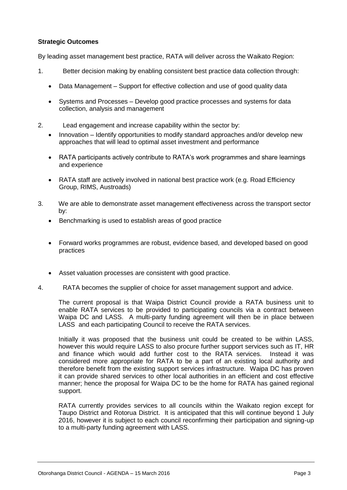#### **Strategic Outcomes**

By leading asset management best practice, RATA will deliver across the Waikato Region:

- 1. Better decision making by enabling consistent best practice data collection through:
	- Data Management Support for effective collection and use of good quality data
	- Systems and Processes Develop good practice processes and systems for data collection, analysis and management
- 2. Lead engagement and increase capability within the sector by:
	- Innovation Identify opportunities to modify standard approaches and/or develop new approaches that will lead to optimal asset investment and performance
	- RATA participants actively contribute to RATA's work programmes and share learnings and experience
	- RATA staff are actively involved in national best practice work (e.g. Road Efficiency Group, RIMS, Austroads)
- 3. We are able to demonstrate asset management effectiveness across the transport sector by:
	- Benchmarking is used to establish areas of good practice
	- Forward works programmes are robust, evidence based, and developed based on good practices
	- Asset valuation processes are consistent with good practice.
- 4. RATA becomes the supplier of choice for asset management support and advice.

The current proposal is that Waipa District Council provide a RATA business unit to enable RATA services to be provided to participating councils via a contract between Waipa DC and LASS. A multi-party funding agreement will then be in place between LASS and each participating Council to receive the RATA services.

Initially it was proposed that the business unit could be created to be within LASS, however this would require LASS to also procure further support services such as IT, HR and finance which would add further cost to the RATA services. Instead it was considered more appropriate for RATA to be a part of an existing local authority and therefore benefit from the existing support services infrastructure. Waipa DC has proven it can provide shared services to other local authorities in an efficient and cost effective manner; hence the proposal for Waipa DC to be the home for RATA has gained regional support.

RATA currently provides services to all councils within the Waikato region except for Taupo District and Rotorua District. It is anticipated that this will continue beyond 1 July 2016, however it is subject to each council reconfirming their participation and signing-up to a multi-party funding agreement with LASS.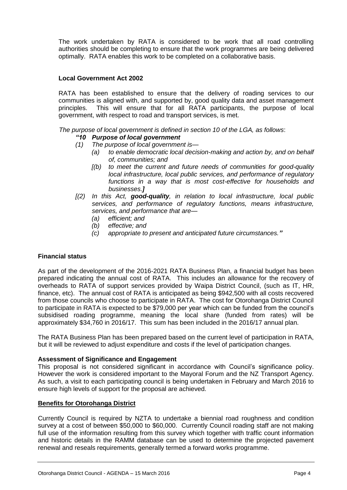The work undertaken by RATA is considered to be work that all road controlling authorities should be completing to ensure that the work programmes are being delivered optimally. RATA enables this work to be completed on a collaborative basis.

#### **Local Government Act 2002**

RATA has been established to ensure that the delivery of roading services to our communities is aligned with, and supported by, good quality data and asset management principles. This will ensure that for all RATA participants, the purpose of local government, with respect to road and transport services, is met.

*The purpose of local government is defined in section 10 of the LGA, as follows*:

#### *"10 Purpose of local government*

- *(1) The purpose of local government is—*
	- *(a) to enable democratic local decision-making and action by, and on behalf of, communities; and*
	- *[(b) to meet the current and future needs of communities for good-quality local infrastructure, local public services, and performance of regulatory functions in a way that is most cost-effective for households and businesses.]*
- *[(2) In this Act, good-quality, in relation to local infrastructure, local public services, and performance of regulatory functions, means infrastructure, services, and performance that are—*
	- *(a) efficient; and*
	- *(b) effective; and*
	- *(c) appropriate to present and anticipated future circumstances."*

#### **Financial status**

As part of the development of the 2016-2021 RATA Business Plan, a financial budget has been prepared indicating the annual cost of RATA. This includes an allowance for the recovery of overheads to RATA of support services provided by Waipa District Council, (such as IT, HR, finance, etc). The annual cost of RATA is anticipated as being \$942,500 with all costs recovered from those councils who choose to participate in RATA. The cost for Otorohanga District Council to participate in RATA is expected to be \$79,000 per year which can be funded from the council's subsidised roading programme, meaning the local share (funded from rates) will be approximately \$34,760 in 2016/17. This sum has been included in the 2016/17 annual plan.

The RATA Business Plan has been prepared based on the current level of participation in RATA, but it will be reviewed to adjust expenditure and costs if the level of participation changes.

#### **Assessment of Significance and Engagement**

This proposal is not considered significant in accordance with Council's significance policy. However the work is considered important to the Mayoral Forum and the NZ Transport Agency. As such, a visit to each participating council is being undertaken in February and March 2016 to ensure high levels of support for the proposal are achieved.

#### **Benefits for Otorohanga District**

Currently Council is required by NZTA to undertake a biennial road roughness and condition survey at a cost of between \$50,000 to \$60,000. Currently Council roading staff are not making full use of the information resulting from this survey which together with traffic count information and historic details in the RAMM database can be used to determine the projected pavement renewal and reseals requirements, generally termed a forward works programme.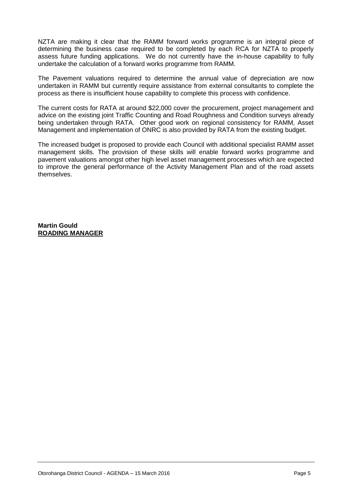NZTA are making it clear that the RAMM forward works programme is an integral piece of determining the business case required to be completed by each RCA for NZTA to properly assess future funding applications. We do not currently have the in-house capability to fully undertake the calculation of a forward works programme from RAMM.

The Pavement valuations required to determine the annual value of depreciation are now undertaken in RAMM but currently require assistance from external consultants to complete the process as there is insufficient house capability to complete this process with confidence.

The current costs for RATA at around \$22,000 cover the procurement, project management and advice on the existing joint Traffic Counting and Road Roughness and Condition surveys already being undertaken through RATA. Other good work on regional consistency for RAMM, Asset Management and implementation of ONRC is also provided by RATA from the existing budget.

The increased budget is proposed to provide each Council with additional specialist RAMM asset management skills. The provision of these skills will enable forward works programme and pavement valuations amongst other high level asset management processes which are expected to improve the general performance of the Activity Management Plan and of the road assets themselves.

**Martin Gould ROADING MANAGER**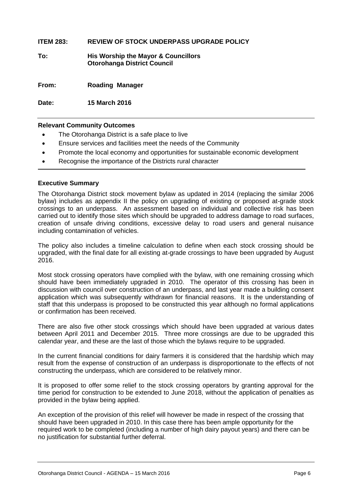#### **ITEM 283: REVIEW OF STOCK UNDERPASS UPGRADE POLICY**

**To: His Worship the Mayor & Councillors Otorohanga District Council**

**From: Roading Manager**

**Date: 15 March 2016**

#### **Relevant Community Outcomes**

- The Otorohanga District is a safe place to live
- Ensure services and facilities meet the needs of the Community
- Promote the local economy and opportunities for sustainable economic development
- Recognise the importance of the Districts rural character

#### **Executive Summary**

The Otorohanga District stock movement bylaw as updated in 2014 (replacing the similar 2006 bylaw) includes as appendix II the policy on upgrading of existing or proposed at-grade stock crossings to an underpass. An assessment based on individual and collective risk has been carried out to identify those sites which should be upgraded to address damage to road surfaces, creation of unsafe driving conditions, excessive delay to road users and general nuisance including contamination of vehicles.

The policy also includes a timeline calculation to define when each stock crossing should be upgraded, with the final date for all existing at-grade crossings to have been upgraded by August 2016.

Most stock crossing operators have complied with the bylaw, with one remaining crossing which should have been immediately upgraded in 2010. The operator of this crossing has been in discussion with council over construction of an underpass, and last year made a building consent application which was subsequently withdrawn for financial reasons. It is the understanding of staff that this underpass is proposed to be constructed this year although no formal applications or confirmation has been received.

There are also five other stock crossings which should have been upgraded at various dates between April 2011 and December 2015. Three more crossings are due to be upgraded this calendar year, and these are the last of those which the bylaws require to be upgraded.

In the current financial conditions for dairy farmers it is considered that the hardship which may result from the expense of construction of an underpass is disproportionate to the effects of not constructing the underpass, which are considered to be relatively minor.

It is proposed to offer some relief to the stock crossing operators by granting approval for the time period for construction to be extended to June 2018, without the application of penalties as provided in the bylaw being applied.

An exception of the provision of this relief will however be made in respect of the crossing that should have been upgraded in 2010. In this case there has been ample opportunity for the required work to be completed (including a number of high dairy payout years) and there can be no justification for substantial further deferral.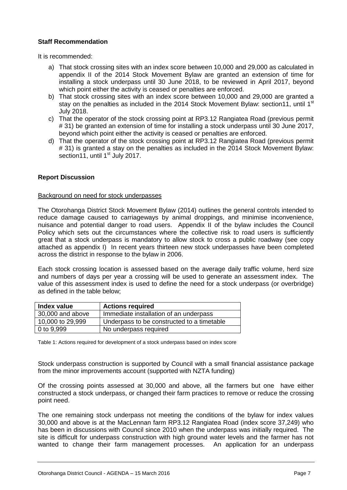#### **Staff Recommendation**

It is recommended:

- a) That stock crossing sites with an index score between 10,000 and 29,000 as calculated in appendix II of the 2014 Stock Movement Bylaw are granted an extension of time for installing a stock underpass until 30 June 2018, to be reviewed in April 2017, beyond which point either the activity is ceased or penalties are enforced.
- b) That stock crossing sites with an index score between 10,000 and 29,000 are granted a stay on the penalties as included in the 2014 Stock Movement Bylaw: section11, until 1<sup>st</sup> July 2018.
- c) That the operator of the stock crossing point at RP3.12 Rangiatea Road (previous permit # 31) be granted an extension of time for installing a stock underpass until 30 June 2017, beyond which point either the activity is ceased or penalties are enforced.
- d) That the operator of the stock crossing point at RP3.12 Rangiatea Road (previous permit # 31) is granted a stay on the penalties as included in the 2014 Stock Movement Bylaw: section11, until 1<sup>st</sup> July 2017.

#### **Report Discussion**

#### Background on need for stock underpasses

The Otorohanga District Stock Movement Bylaw (2014) outlines the general controls intended to reduce damage caused to carriageways by animal droppings, and minimise inconvenience, nuisance and potential danger to road users. Appendix II of the bylaw includes the Council Policy which sets out the circumstances where the collective risk to road users is sufficiently great that a stock underpass is mandatory to allow stock to cross a public roadway (see copy attached as appendix I) In recent years thirteen new stock underpasses have been completed across the district in response to the bylaw in 2006.

Each stock crossing location is assessed based on the average daily traffic volume, herd size and numbers of days per year a crossing will be used to generate an assessment index. The value of this assessment index is used to define the need for a stock underpass (or overbridge) as defined in the table below;

| Index value            | <b>Actions required</b>                    |
|------------------------|--------------------------------------------|
| 30,000 and above       | Immediate installation of an underpass     |
| 10,000 to 29,999       | Underpass to be constructed to a timetable |
| $ 0 \text{ to } 9,999$ | No underpass required                      |

Table 1: Actions required for development of a stock underpass based on index score

Stock underpass construction is supported by Council with a small financial assistance package from the minor improvements account (supported with NZTA funding)

Of the crossing points assessed at 30,000 and above, all the farmers but one have either constructed a stock underpass, or changed their farm practices to remove or reduce the crossing point need.

The one remaining stock underpass not meeting the conditions of the bylaw for index values 30,000 and above is at the MacLennan farm RP3.12 Rangiatea Road (index score 37,249) who has been in discussions with Council since 2010 when the underpass was initially required. The site is difficult for underpass construction with high ground water levels and the farmer has not wanted to change their farm management processes. An application for an underpass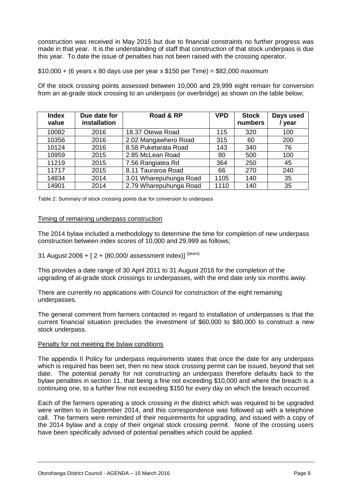construction was received in May 2015 but due to financial constraints no further progress was made in that year. It is the understanding of staff that construction of that stock underpass is due this year. To date the issue of penalties has not been raised with the crossing operator.

 $$10,000 + (6 \text{ years} \times 80 \text{ days}$  use per year x  $$150$  per Time) = \$82,000 maximum

Of the stock crossing points assessed between 10,000 and 29,999 eight remain for conversion from an at-grade stock crossing to an underpass (or overbridge) as shown on the table below;

| <b>Index</b><br>value | Due date for<br>installation | Road & RP              | <b>VPD</b> | <b>Stock</b><br>numbers | Days used<br>/ year |
|-----------------------|------------------------------|------------------------|------------|-------------------------|---------------------|
| 10082                 | 2016                         | 18.37 Otewa Road       | 115        | 320                     | 100                 |
| 10356                 | 2016                         | 2.02 Mangawhero Road   | 315        | 60                      | 200                 |
| 10124                 | 2016                         | 8.58 Puketarata Road   | 143        | 340                     | 76                  |
| 10959                 | 2015                         | 2.85 McLean Road       | 80         | 500                     | 100                 |
| 11219                 | 2015                         | 7.56 Rangiatea Rd      | 364        | 250                     | 45                  |
| 11717                 | 2015                         | 8.11 Tauraroa Road     | 66         | 270                     | 240                 |
| 14834                 | 2014                         | 3.01 Wharepuhunga Road | 1105       | 140                     | 35                  |
| 14901                 | 2014                         | 2.79 Wharepuhunga Road | 1110       | 140                     | 35                  |

Table 2: Summary of stock crossing points due for conversion to underpass

#### Timing of remaining underpass construction

The 2014 bylaw included a methodology to determine the time for completion of new underpass construction between index scores of 10,000 and 29,999 as follows;

31 August 2006 +  $[2 + (80,000/$  assessment index)]  ${^{{years}}}$ 

This provides a date range of 30 April 2011 to 31 August 2016 for the completion of the upgrading of at-grade stock crossings to underpasses, with the end date only six months away.

There are currently no applications with Council for construction of the eight remaining underpasses.

The general comment from farmers contacted in regard to installation of underpasses is that the current financial situation precludes the investment of \$60,000 to \$80,000 to construct a new stock underpass.

#### Penalty for not meeting the bylaw conditions

The appendix II Policy for underpass requirements states that once the date for any underpass which is required has been set, then no new stock crossing permit can be issued, beyond that set date. The potential penalty for not constructing an underpass therefore defaults back to the bylaw penalties in section 11, that being a fine not exceeding \$10,000 and where the breach is a continuing one, to a further fine not exceeding \$150 for every day on which the breach occurred.

Each of the farmers operating a stock crossing in the district which was required to be upgraded were written to in September 2014, and this correspondence was followed up with a telephone call. The farmers were reminded of their requirements for upgrading, and issued with a copy of the 2014 bylaw and a copy of their original stock crossing permit. None of the crossing users have been specifically advised of potential penalties which could be applied.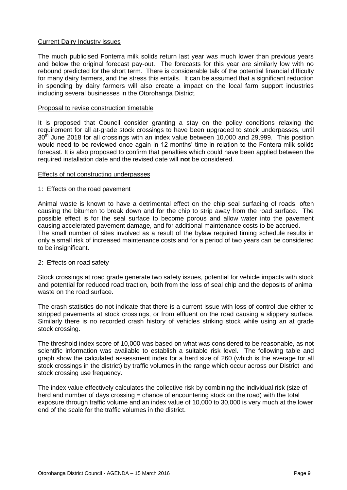#### Current Dairy Industry issues

The much publicised Fonterra milk solids return last year was much lower than previous years and below the original forecast pay-out. The forecasts for this year are similarly low with no rebound predicted for the short term. There is considerable talk of the potential financial difficulty for many dairy farmers, and the stress this entails. It can be assumed that a significant reduction in spending by dairy farmers will also create a impact on the local farm support industries including several businesses in the Otorohanga District.

#### Proposal to revise construction timetable

It is proposed that Council consider granting a stay on the policy conditions relaxing the requirement for all at-grade stock crossings to have been upgraded to stock underpasses, until  $30<sup>th</sup>$  June 2018 for all crossings with an index value between 10,000 and 29,999. This position would need to be reviewed once again in 12 months' time in relation to the Fontera milk solids forecast. It is also proposed to confirm that penalties which could have been applied between the required installation date and the revised date will **not** be considered.

#### Effects of not constructing underpasses

#### 1: Effects on the road pavement

Animal waste is known to have a detrimental effect on the chip seal surfacing of roads, often causing the bitumen to break down and for the chip to strip away from the road surface. The possible effect is for the seal surface to become porous and allow water into the pavement causing accelerated pavement damage, and for additional maintenance costs to be accrued. The small number of sites involved as a result of the bylaw required timing schedule results in only a small risk of increased maintenance costs and for a period of two years can be considered to be insignificant.

#### 2: Effects on road safety

Stock crossings at road grade generate two safety issues, potential for vehicle impacts with stock and potential for reduced road traction, both from the loss of seal chip and the deposits of animal waste on the road surface.

The crash statistics do not indicate that there is a current issue with loss of control due either to stripped pavements at stock crossings, or from effluent on the road causing a slippery surface. Similarly there is no recorded crash history of vehicles striking stock while using an at grade stock crossing.

The threshold index score of 10,000 was based on what was considered to be reasonable, as not scientific information was available to establish a suitable risk level. The following table and graph show the calculated assessment index for a herd size of 260 (which is the average for all stock crossings in the district) by traffic volumes in the range which occur across our District and stock crossing use frequency.

The index value effectively calculates the collective risk by combining the individual risk (size of herd and number of days crossing = chance of encountering stock on the road) with the total exposure through traffic volume and an index value of 10,000 to 30,000 is very much at the lower end of the scale for the traffic volumes in the district.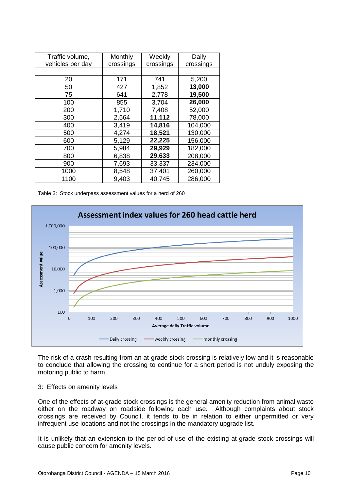| Traffic volume,  | Monthly   | Weekly    | Daily     |
|------------------|-----------|-----------|-----------|
| vehicles per day | crossings | crossings | crossings |
|                  |           |           |           |
| 20               | 171       | 741       | 5,200     |
| 50               | 427       | 1,852     | 13,000    |
| 75               | 641       | 2,778     | 19,500    |
| 100              | 855       | 3,704     | 26,000    |
| 200              | 1,710     | 7,408     | 52,000    |
| 300              | 2,564     | 11,112    | 78,000    |
| 400              | 3,419     | 14,816    | 104,000   |
| 500              | 4,274     | 18,521    | 130,000   |
| 600              | 5,129     | 22,225    | 156,000   |
| 700              | 5,984     | 29,929    | 182,000   |
| 800              | 6,838     | 29,633    | 208,000   |
| 900              | 7,693     | 33,337    | 234,000   |
| 1000             | 8,548     | 37,401    | 260,000   |
| 1100             | 9,403     | 40,745    | 286,000   |

Table 3: Stock underpass assessment values for a herd of 260



The risk of a crash resulting from an at-grade stock crossing is relatively low and it is reasonable to conclude that allowing the crossing to continue for a short period is not unduly exposing the motoring public to harm.

#### 3: Effects on amenity levels

One of the effects of at-grade stock crossings is the general amenity reduction from animal waste either on the roadway on roadside following each use. Although complaints about stock crossings are received by Council, it tends to be in relation to either unpermitted or very infrequent use locations and not the crossings in the mandatory upgrade list.

It is unlikely that an extension to the period of use of the existing at-grade stock crossings will cause public concern for amenity levels.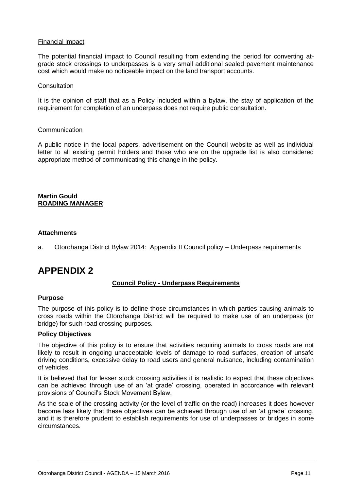#### Financial impact

The potential financial impact to Council resulting from extending the period for converting atgrade stock crossings to underpasses is a very small additional sealed pavement maintenance cost which would make no noticeable impact on the land transport accounts.

#### **Consultation**

It is the opinion of staff that as a Policy included within a bylaw, the stay of application of the requirement for completion of an underpass does not require public consultation.

#### **Communication**

A public notice in the local papers, advertisement on the Council website as well as individual letter to all existing permit holders and those who are on the upgrade list is also considered appropriate method of communicating this change in the policy.

#### **Martin Gould ROADING MANAGER**

#### **Attachments**

a. Otorohanga District Bylaw 2014: Appendix II Council policy – Underpass requirements

## **APPENDIX 2**

#### **Council Policy - Underpass Requirements**

#### **Purpose**

The purpose of this policy is to define those circumstances in which parties causing animals to cross roads within the Otorohanga District will be required to make use of an underpass (or bridge) for such road crossing purposes.

#### **Policy Objectives**

The objective of this policy is to ensure that activities requiring animals to cross roads are not likely to result in ongoing unacceptable levels of damage to road surfaces, creation of unsafe driving conditions, excessive delay to road users and general nuisance, including contamination of vehicles.

It is believed that for lesser stock crossing activities it is realistic to expect that these objectives can be achieved through use of an 'at grade' crossing, operated in accordance with relevant provisions of Council's Stock Movement Bylaw.

As the scale of the crossing activity (or the level of traffic on the road) increases it does however become less likely that these objectives can be achieved through use of an 'at grade' crossing, and it is therefore prudent to establish requirements for use of underpasses or bridges in some circumstances.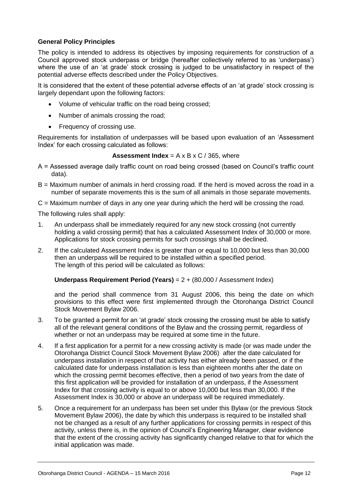#### **General Policy Principles**

The policy is intended to address its objectives by imposing requirements for construction of a Council approved stock underpass or bridge (hereafter collectively referred to as 'underpass') where the use of an 'at grade' stock crossing is judged to be unsatisfactory in respect of the potential adverse effects described under the Policy Objectives.

It is considered that the extent of these potential adverse effects of an 'at grade' stock crossing is largely dependant upon the following factors:

- Volume of vehicular traffic on the road being crossed;
- Number of animals crossing the road;
- Frequency of crossing use.

Requirements for installation of underpasses will be based upon evaluation of an 'Assessment Index' for each crossing calculated as follows:

#### **Assessment Index** =  $A \times B \times C / 365$ , where

- A = Assessed average daily traffic count on road being crossed (based on Council's traffic count data).
- B = Maximum number of animals in herd crossing road. If the herd is moved across the road in a number of separate movements this is the sum of all animals in those separate movements.
- C = Maximum number of days in any one year during which the herd will be crossing the road.

The following rules shall apply:

- 1. An underpass shall be immediately required for any new stock crossing (not currently holding a valid crossing permit) that has a calculated Assessment Index of 30,000 or more. Applications for stock crossing permits for such crossings shall be declined.
- 2. If the calculated Assessment Index is greater than or equal to 10,000 but less than 30,000 then an underpass will be required to be installed within a specified period. The length of this period will be calculated as follows:

#### **Underpass Requirement Period (Years)** = 2 + (80,000 / Assessment Index)

and the period shall commence from 31 August 2006, this being the date on which provisions to this effect were first implemented through the Otorohanga District Council Stock Movement Bylaw 2006.

- 3. To be granted a permit for an 'at grade' stock crossing the crossing must be able to satisfy all of the relevant general conditions of the Bylaw and the crossing permit, regardless of whether or not an underpass may be required at some time in the future.
- 4. If a first application for a permit for a new crossing activity is made (or was made under the Otorohanga District Council Stock Movement Bylaw 2006) after the date calculated for underpass installation in respect of that activity has either already been passed, or if the calculated date for underpass installation is less than eighteen months after the date on which the crossing permit becomes effective, then a period of two years from the date of this first application will be provided for installation of an underpass, if the Assessment Index for that crossing activity is equal to or above 10,000 but less than 30,000. If the Assessment Index is 30,000 or above an underpass will be required immediately.
- 5. Once a requirement for an underpass has been set under this Bylaw (or the previous Stock Movement Bylaw 2006), the date by which this underpass is required to be installed shall not be changed as a result of any further applications for crossing permits in respect of this activity, unless there is, in the opinion of Council's Engineering Manager, clear evidence that the extent of the crossing activity has significantly changed relative to that for which the initial application was made.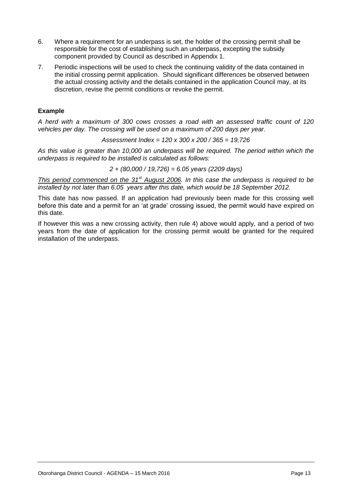- 6. Where a requirement for an underpass is set, the holder of the crossing permit shall be responsible for the cost of establishing such an underpass, excepting the subsidy component provided by Council as described in Appendix 1.
- 7. Periodic inspections will be used to check the continuing validity of the data contained in the initial crossing permit application. Should significant differences be observed between the actual crossing activity and the details contained in the application Council may, at its discretion, revise the permit conditions or revoke the permit.

#### **Example**

*A herd with a maximum of 300 cows crosses a road with an assessed traffic count of 120 vehicles per day. The crossing will be used on a maximum of 200 days per year.*

*Assessment Index = 120 x 300 x 200 / 365 = 19,726*

*As this value is greater than 10,000 an underpass will be required. The period within which the underpass is required to be installed is calculated as follows:*

*2 + (80,000 / 19,726) = 6.05 years (2209 days)*

*This period commenced on the 31st August 2006. In this case the underpass is required to be installed by not later than 6.05 years after this date, which would be 18 September 2012.* 

This date has now passed. If an application had previously been made for this crossing well before this date and a permit for an 'at grade' crossing issued, the permit would have expired on this date.

If however this was a new crossing activity, then rule 4) above would apply, and a period of two years from the date of application for the crossing permit would be granted for the required installation of the underpass.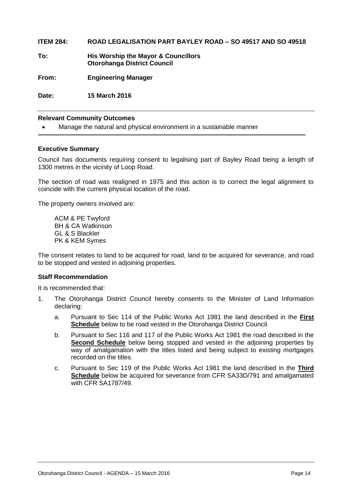#### **ITEM 284: ROAD LEGALISATION PART BAYLEY ROAD – SO 49517 AND SO 49518**

**To: His Worship the Mayor & Councillors Otorohanga District Council**

**From: Engineering Manager**

**Date: 15 March 2016**

#### **Relevant Community Outcomes**

Manage the natural and physical environment in a sustainable manner

#### **Executive Summary**

Council has documents requiring consent to legalising part of Bayley Road being a length of 1300 metres in the vicinity of Loop Road.

The section of road was realigned in 1975 and this action is to correct the legal alignment to coincide with the current physical location of the road.

The property owners involved are:

ACM & PE Twyford BH & CA Watkinson GL & S Blackler PK & KEM Symes

The consent relates to land to be acquired for road, land to be acquired for severance, and road to be stopped and vested in adjoining properties.

#### **Staff Recommendation**

It is recommended that:

- 1. The Otorohanga District Council hereby consents to the Minister of Land Information declaring:
	- a. Pursuant to Sec 114 of the Public Works Act 1981 the land described in the **First Schedule** below to be road vested in the Otorohanga District Council.
	- b. Pursuant to Sec 116 and 117 of the Public Works Act 1981 the road described in the **Second Schedule** below being stopped and vested in the adjoining properties by way of amalgamation with the titles listed and being subject to existing mortgages recorded on the titles.
	- c. Pursuant to Sec 119 of the Public Works Act 1981 the land described in the **Third Schedule** below be acquired for severance from CFR SA33D/791 and amalgamated with CFR SA1787/49.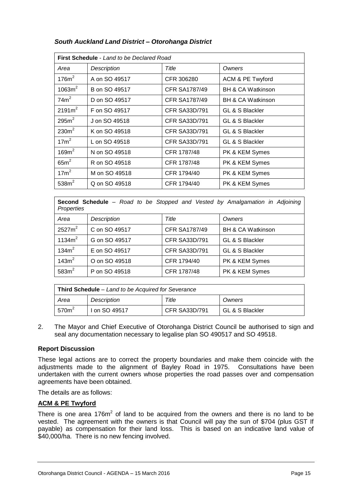| <b>First Schedule</b> - Land to be Declared Road |               |                      |                              |  |
|--------------------------------------------------|---------------|----------------------|------------------------------|--|
| Area                                             | Description   | Title                | Owners                       |  |
| $176m^2$                                         | A on SO 49517 | CFR 306280           | ACM & PE Twyford             |  |
| 1063m <sup>2</sup>                               | B on SO 49517 | <b>CFR SA1787/49</b> | <b>BH &amp; CA Watkinson</b> |  |
| $74m^2$                                          | D on SO 49517 | <b>CFR SA1787/49</b> | <b>BH &amp; CA Watkinson</b> |  |
| 2191m <sup>2</sup>                               | F on SO 49517 | <b>CFR SA33D/791</b> | GL & S Blackler              |  |
| 295m <sup>2</sup>                                | J on SO 49518 | <b>CFR SA33D/791</b> | GL & S Blackler              |  |
| 230m <sup>2</sup>                                | K on SO 49518 | <b>CFR SA33D/791</b> | GL & S Blackler              |  |
| 17m <sup>2</sup>                                 | L on SO 49518 | <b>CFR SA33D/791</b> | GL & S Blackler              |  |
| 169m <sup>2</sup>                                | N on SO 49518 | CFR 1787/48          | PK & KEM Symes               |  |
| $65m^2$                                          | R on SO 49518 | CFR 1787/48          | PK & KEM Symes               |  |
| $17m^2$                                          | M on SO 49518 | CFR 1794/40          | PK & KEM Symes               |  |
| 538m <sup>2</sup>                                | Q on SO 49518 | CFR 1794/40          | PK & KEM Symes               |  |

#### *South Auckland Land District – Otorohanga District*

**Second Schedule** – *Road to be Stopped and Vested by Amalgamation in Adjoining Properties*

| Area               | Description   | Title                | Owners                       |
|--------------------|---------------|----------------------|------------------------------|
| 2527m <sup>2</sup> | C on SO 49517 | <b>CFR SA1787/49</b> | <b>BH &amp; CA Watkinson</b> |
| 1134m <sup>2</sup> | G on SO 49517 | <b>CFR SA33D/791</b> | GL & S Blackler              |
| 134m <sup>2</sup>  | E on SO 49517 | <b>CFR SA33D/791</b> | GL & S Blackler              |
| 143m <sup>2</sup>  | O on SO 49518 | CFR 1794/40          | PK & KEM Symes               |
| 583m <sup>2</sup>  | P on SO 49518 | CFR 1787/48          | PK & KEM Symes               |

| <b>Third Schedule</b> – Land to be Acquired for Severance |               |                      |                 |
|-----------------------------------------------------------|---------------|----------------------|-----------------|
| Area                                                      | Description   | Title                | Owners          |
| 570 <sup>2</sup>                                          | I on SO 49517 | <b>CFR SA33D/791</b> | GL & S Blackler |

2. The Mayor and Chief Executive of Otorohanga District Council be authorised to sign and seal any documentation necessary to legalise plan SO 490517 and SO 49518.

#### **Report Discussion**

These legal actions are to correct the property boundaries and make them coincide with the adjustments made to the alignment of Bayley Road in 1975. Consultations have been undertaken with the current owners whose properties the road passes over and compensation agreements have been obtained.

The details are as follows:

#### **ACM & PE Twyford**

There is one area 176 $m<sup>2</sup>$  of land to be acquired from the owners and there is no land to be vested. The agreement with the owners is that Council will pay the sun of \$704 (plus GST If payable) as compensation for their land loss. This is based on an indicative land value of \$40,000/ha. There is no new fencing involved.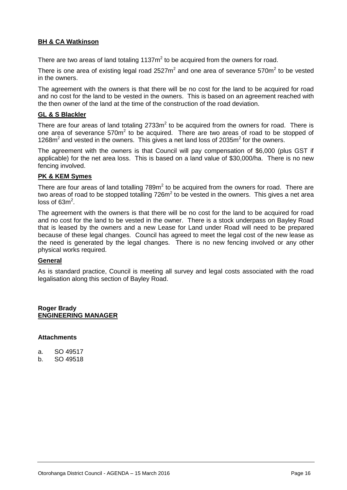#### **BH & CA Watkinson**

There are two areas of land totaling 1137 $m^2$  to be acquired from the owners for road.

There is one area of existing legal road 2527 $m^2$  and one area of severance 570 $m^2$  to be vested in the owners.

The agreement with the owners is that there will be no cost for the land to be acquired for road and no cost for the land to be vested in the owners. This is based on an agreement reached with the then owner of the land at the time of the construction of the road deviation.

#### **GL & S Blackler**

There are four areas of land totaling  $2733m^2$  to be acquired from the owners for road. There is one area of severance  $570m^2$  to be acquired. There are two areas of road to be stopped of 1268 $m<sup>2</sup>$  and vested in the owners. This gives a net land loss of 2035 $m<sup>2</sup>$  for the owners.

The agreement with the owners is that Council will pay compensation of \$6,000 (plus GST if applicable) for the net area loss. This is based on a land value of \$30,000/ha. There is no new fencing involved.

#### **PK & KEM Symes**

There are four areas of land totalling  $789m<sup>2</sup>$  to be acquired from the owners for road. There are two areas of road to be stopped totalling 726m<sup>2</sup> to be vested in the owners. This gives a net area loss of  $63m^2$ .

The agreement with the owners is that there will be no cost for the land to be acquired for road and no cost for the land to be vested in the owner. There is a stock underpass on Bayley Road that is leased by the owners and a new Lease for Land under Road will need to be prepared because of these legal changes. Council has agreed to meet the legal cost of the new lease as the need is generated by the legal changes. There is no new fencing involved or any other physical works required.

#### **General**

As is standard practice, Council is meeting all survey and legal costs associated with the road legalisation along this section of Bayley Road.

#### **Roger Brady ENGINEERING MANAGER**

#### **Attachments**

- a. SO 49517
- b. SO 49518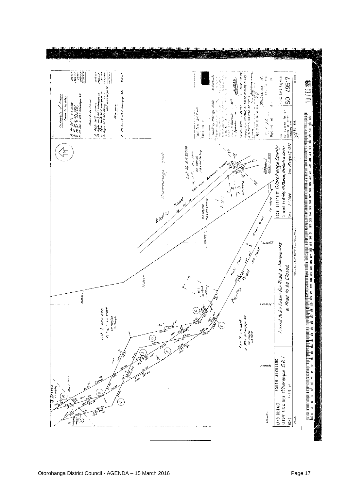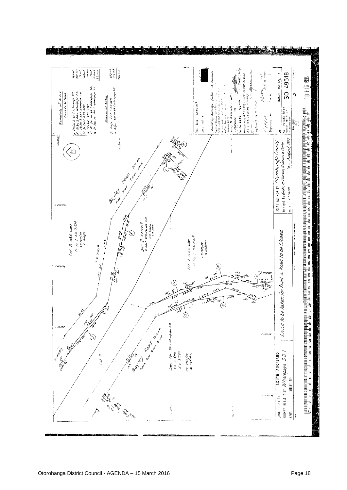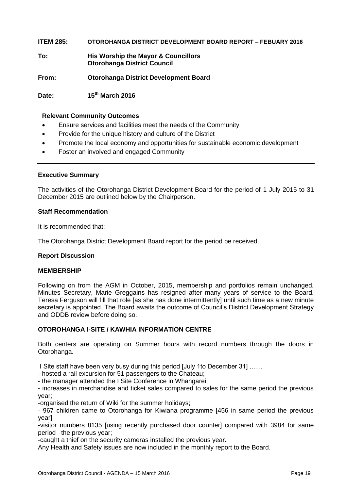**ITEM 285: OTOROHANGA DISTRICT DEVELOPMENT BOARD REPORT – FEBUARY 2016 To: His Worship the Mayor & Councillors Otorohanga District Council From: Otorohanga District Development Board Date: 15th March 2016**

#### **Relevant Community Outcomes**

- Ensure services and facilities meet the needs of the Community
- Provide for the unique history and culture of the District
- Promote the local economy and opportunities for sustainable economic development
- Foster an involved and engaged Community

#### **Executive Summary**

The activities of the Otorohanga District Development Board for the period of 1 July 2015 to 31 December 2015 are outlined below by the Chairperson.

#### **Staff Recommendation**

It is recommended that:

The Otorohanga District Development Board report for the period be received.

#### **Report Discussion**

#### **MEMBERSHIP**

Following on from the AGM in October, 2015, membership and portfolios remain unchanged. Minutes Secretary, Marie Greggains has resigned after many years of service to the Board. Teresa Ferguson will fill that role [as she has done intermittently] until such time as a new minute secretary is appointed. The Board awaits the outcome of Council's District Development Strategy and ODDB review before doing so.

#### **OTOROHANGA I-SITE / KAWHIA INFORMATION CENTRE**

Both centers are operating on Summer hours with record numbers through the doors in Otorohanga.

I Site staff have been very busy during this period [July 1to December 31] ……

- hosted a rail excursion for 51 passengers to the Chateau;

- the manager attended the I Site Conference in Whangarei;

- increases in merchandise and ticket sales compared to sales for the same period the previous year;

-organised the return of Wiki for the summer holidays;

- 967 children came to Otorohanga for Kiwiana programme [456 in same period the previous year]

-visitor numbers 8135 [using recently purchased door counter] compared with 3984 for same period the previous year;

-caught a thief on the security cameras installed the previous year.

Any Health and Safety issues are now included in the monthly report to the Board.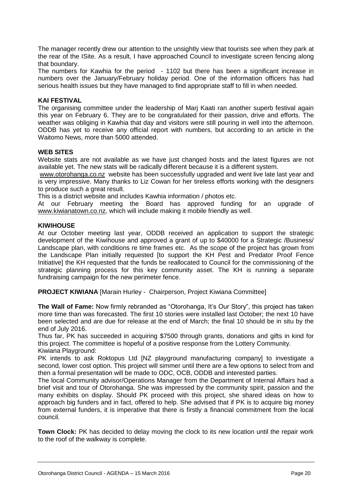The manager recently drew our attention to the unsightly view that tourists see when they park at the rear of the ISite. As a result, I have approached Council to investigate screen fencing along that boundary.

The numbers for Kawhia for the period - 1102 but there has been a significant increase in numbers over the January/February holiday period. One of the information officers has had serious health issues but they have managed to find appropriate staff to fill in when needed.

#### **KAI FESTIVAL**

The organising committee under the leadership of Marj Kaati ran another superb festival again this year on February 6. They are to be congratulated for their passion, drive and efforts. The weather was obliging in Kawhia that day and visitors were still pouring in well into the afternoon. ODDB has yet to receive any official report with numbers, but according to an article in the Waitomo News, more than 5000 attended.

#### **WEB SITES**

Website stats are not available as we have just changed hosts and the latest figures are not available yet. The new stats will be radically different because it is a different system.

[www.otorohanga.co.nz](http://www.otorohanga.co.nz/) website has been successfully upgraded and went live late last year and is very impressive. Many thanks to Liz Cowan for her tireless efforts working with the designers to produce such a great result.

This is a district website and includes Kawhia information / photos etc.

At our February meeting the Board has approved funding for an upgrade of [www.kiwianatown.co.nz,](http://www.kiwianatown.co.nz/) which will include making it mobile friendly as well.

#### **KIWIHOUSE**

At our October meeting last year, ODDB received an application to support the strategic development of the Kiwihouse and approved a grant of up to \$40000 for a Strategic /Business/ Landscape plan, with conditions re time frames etc. As the scope of the project has grown from the Landscape Plan initially requested [to support the KH Pest and Predator Proof Fence Initiative] the KH requested that the funds be reallocated to Council for the commissioning of the strategic planning process for this key community asset. The KH is running a separate fundraising campaign for the new perimeter fence.

**PROJECT KIWIANA** [Marain Hurley - Chairperson, Project Kiwiana Committee]

**The Wall of Fame:** Now firmly rebranded as "Otorohanga, It's Our Story", this project has taken more time than was forecasted. The first 10 stories were installed last October; the next 10 have been selected and are due for release at the end of March; the final 10 should be in situ by the end of July 2016.

Thus far, PK has succeeded in acquiring \$7500 through grants, donations and gifts in kind for this project. The committee is hopeful of a positive response from the Lottery Community. Kiwiana Playground:

PK intends to ask Roktopus Ltd [NZ playground manufacturing company] to investigate a second, lower cost option. This project will simmer until there are a few options to select from and then a formal presentation will be made to ODC, OCB, ODDB and interested parties.

The local Community advisor/Operations Manager from the Department of Internal Affairs had a brief visit and tour of Otorohanga. She was impressed by the community spirit, passion and the many exhibits on display. Should PK proceed with this project, she shared ideas on how to approach big funders and in fact, offered to help. She advised that if PK is to acquire big money from external funders, it is imperative that there is firstly a financial commitment from the local council.

**Town Clock:** PK has decided to delay moving the clock to its new location until the repair work to the roof of the walkway is complete.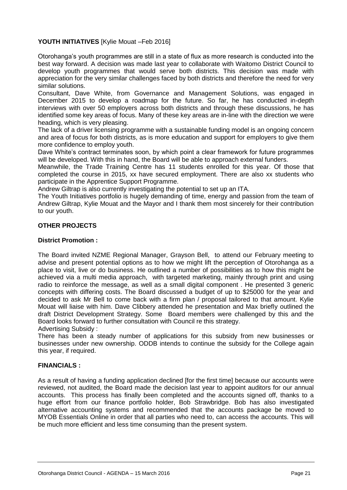#### **YOUTH INITIATIVES** [Kylie Mouat –Feb 2016]

Otorohanga's youth programmes are still in a state of flux as more research is conducted into the best way forward. A decision was made last year to collaborate with Waitomo District Council to develop youth programmes that would serve both districts. This decision was made with appreciation for the very similar challenges faced by both districts and therefore the need for very similar solutions.

Consultant, Dave White, from Governance and Management Solutions, was engaged in December 2015 to develop a roadmap for the future. So far, he has conducted in-depth interviews with over 50 employers across both districts and through these discussions, he has identified some key areas of focus. Many of these key areas are in-line with the direction we were heading, which is very pleasing.

The lack of a driver licensing programme with a sustainable funding model is an ongoing concern and area of focus for both districts, as is more education and support for employers to give them more confidence to employ youth.

Dave White's contract terminates soon, by which point a clear framework for future programmes will be developed. With this in hand, the Board will be able to approach external funders.

Meanwhile, the Trade Training Centre has 11 students enrolled for this year. Of those that completed the course in 2015, xx have secured employment. There are also xx students who participate in the Apprentice Support Programme.

Andrew Giltrap is also currently investigating the potential to set up an ITA.

The Youth Initiatives portfolio is hugely demanding of time, energy and passion from the team of Andrew Giltrap, Kylie Mouat and the Mayor and I thank them most sincerely for their contribution to our youth.

#### **OTHER PROJECTS**

#### **District Promotion :**

The Board invited NZME Regional Manager, Grayson Bell, to attend our February meeting to advise and present potential options as to how we might lift the perception of Otorohanga as a place to visit, live or do business. He outlined a number of possibilities as to how this might be achieved via a multi media approach, with targeted marketing, mainly through print and using radio to reinforce the message, as well as a small digital component . He presented 3 generic concepts with differing costs. The Board discussed a budget of up to \$25000 for the year and decided to ask Mr Bell to come back with a firm plan / proposal tailored to that amount. Kylie Mouat will liaise with him. Dave Clibbery attended he presentation and Max briefly outlined the draft District Development Strategy. Some Board members were challenged by this and the Board looks forward to further consultation with Council re this strategy.

Advertising Subsidy :

There has been a steady number of applications for this subsidy from new businesses or businesses under new ownership. ODDB intends to continue the subsidy for the College again this year, if required.

#### **FINANCIALS :**

As a result of having a funding application declined [for the first time] because our accounts were reviewed, not audited, the Board made the decision last year to appoint auditors for our annual accounts. This process has finally been completed and the accounts signed off, thanks to a huge effort from our finance portfolio holder, Bob Strawbridge. Bob has also investigated alternative accounting systems and recommended that the accounts package be moved to MYOB Essentials Online in order that all parties who need to, can access the accounts. This will be much more efficient and less time consuming than the present system.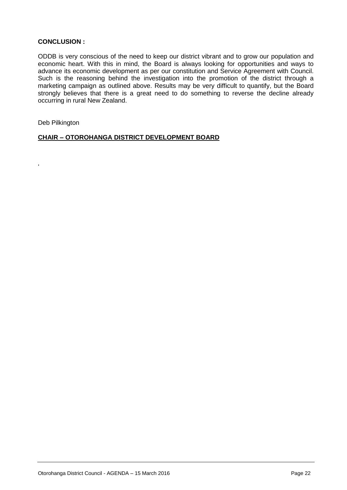#### **CONCLUSION :**

ODDB is very conscious of the need to keep our district vibrant and to grow our population and economic heart. With this in mind, the Board is always looking for opportunities and ways to advance its economic development as per our constitution and Service Agreement with Council. Such is the reasoning behind the investigation into the promotion of the district through a marketing campaign as outlined above. Results may be very difficult to quantify, but the Board strongly believes that there is a great need to do something to reverse the decline already occurring in rural New Zealand.

Deb Pilkington

 $\epsilon$ 

**CHAIR – OTOROHANGA DISTRICT DEVELOPMENT BOARD**